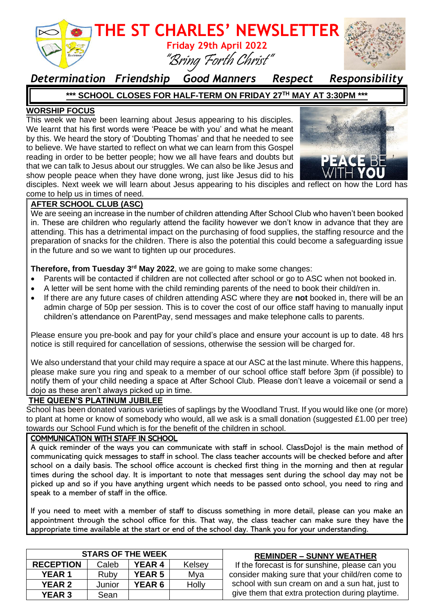

### *Determination Friendship Good Manners Respect Responsibility*

#### **\*\*\* SCHOOL CLOSES FOR HALF-TERM ON FRIDAY 27TH MAY AT 3:30PM \*\*\***

#### **WORSHIP FOCUS**

This week we have been learning about Jesus appearing to his disciples. We learnt that his first words were 'Peace be with you' and what he meant by this. We heard the story of 'Doubting Thomas' and that he needed to see to believe. We have started to reflect on what we can learn from this Gospel reading in order to be better people; how we all have fears and doubts but that we can talk to Jesus about our struggles. We can also be like Jesus and show people peace when they have done wrong, just like Jesus did to his



disciples. Next week we will learn about Jesus appearing to his disciples and reflect on how the Lord has come to help us in times of need.

#### **AFTER SCHOOL CLUB (ASC)**

We are seeing an increase in the number of children attending After School Club who haven't been booked in. These are children who regularly attend the facility however we don't know in advance that they are attending. This has a detrimental impact on the purchasing of food supplies, the staffing resource and the preparation of snacks for the children. There is also the potential this could become a safeguarding issue in the future and so we want to tighten up our procedures.

#### **Therefore, from Tuesday 3rd May 2022**, we are going to make some changes:

- Parents will be contacted if children are not collected after school or go to ASC when not booked in.
- A letter will be sent home with the child reminding parents of the need to book their child/ren in.
- If there are any future cases of children attending ASC where they are **not** booked in, there will be an admin charge of 50p per session. This is to cover the cost of our office staff having to manually input children's attendance on ParentPay, send messages and make telephone calls to parents.

Please ensure you pre-book and pay for your child's place and ensure your account is up to date. 48 hrs notice is still required for cancellation of sessions, otherwise the session will be charged for.

We also understand that your child may require a space at our ASC at the last minute. Where this happens, please make sure you ring and speak to a member of our school office staff before 3pm (if possible) to notify them of your child needing a space at After School Club. Please don't leave a voicemail or send a dojo as these aren't always picked up in time.

#### **THE QUEEN'S PLATINUM JUBILEE**

School has been donated various varieties of saplings by the Woodland Trust. If you would like one (or more) to plant at home or know of somebody who would, all we ask is a small donation (suggested £1.00 per tree) towards our School Fund which is for the benefit of the children in school.

#### COMMUNICATION WITH STAFF IN SCHOOL

A quick reminder of the ways you can communicate with staff in school. ClassDojo! is the main method of communicating quick messages to staff in school. The class teacher accounts will be checked before and after school on a daily basis. The school office account is checked first thing in the morning and then at regular times during the school day. It is important to note that messages sent during the school day may not be picked up and so if you have anything urgent which needs to be passed onto school, you need to ring and speak to a member of staff in the office.

If you need to meet with a member of staff to discuss something in more detail, please can you make an appointment through the school office for this. That way, the class teacher can make sure they have the appropriate time available at the start or end of the school day. Thank you for your understanding.

| <b>STARS OF THE WEEK</b> |        |               |        | <b>REMINDER - SUNNY WEATHER</b>                  |
|--------------------------|--------|---------------|--------|--------------------------------------------------|
| <b>RECEPTION</b>         | Caleb  | <b>YEAR 4</b> | Kelsey | If the forecast is for sunshine, please can you  |
| <b>YEAR 1</b>            | Ruby   | <b>YEAR 5</b> | Mya    | consider making sure that your child/ren come to |
| <b>YEAR 2</b>            | Junior | <b>YEAR 6</b> | Holly  | school with sun cream on and a sun hat, just to  |
| <b>YEAR 3</b>            | Sean   |               |        | give them that extra protection during playtime. |